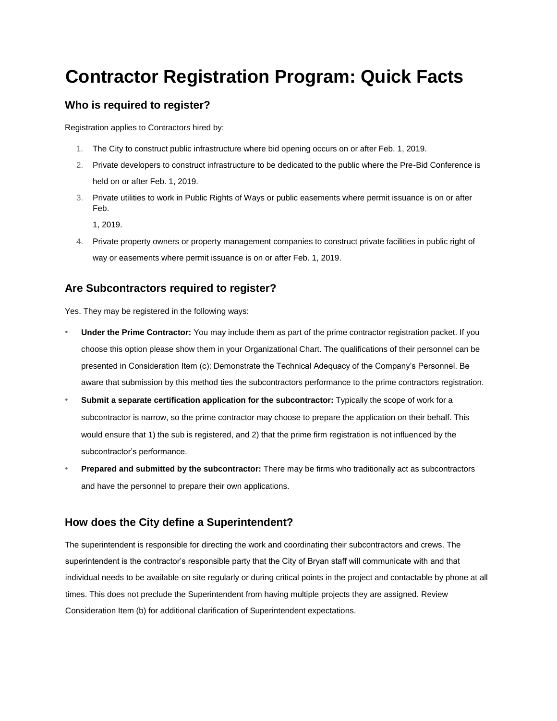# **Contractor Registration Program: Quick Facts**

## **Who is required to register?**

Registration applies to Contractors hired by:

- 1. The City to construct public infrastructure where bid opening occurs on or after Feb. 1, 2019.
- 2. Private developers to construct infrastructure to be dedicated to the public where the Pre-Bid Conference is held on or after Feb. 1, 2019.
- 3. Private utilities to work in Public Rights of Ways or public easements where permit issuance is on or after Feb.

1, 2019.

4. Private property owners or property management companies to construct private facilities in public right of way or easements where permit issuance is on or after Feb. 1, 2019.

## **Are Subcontractors required to register?**

Yes. They may be registered in the following ways:

- **Under the Prime Contractor:** You may include them as part of the prime contractor registration packet. If you choose this option please show them in your Organizational Chart. The qualifications of their personnel can be presented in Consideration Item (c): Demonstrate the Technical Adequacy of the Company's Personnel. Be aware that submission by this method ties the subcontractors performance to the prime contractors registration.
- **Submit a separate certification application for the subcontractor:** Typically the scope of work for a subcontractor is narrow, so the prime contractor may choose to prepare the application on their behalf. This would ensure that 1) the sub is registered, and 2) that the prime firm registration is not influenced by the subcontractor's performance.
- **Prepared and submitted by the subcontractor:** There may be firms who traditionally act as subcontractors and have the personnel to prepare their own applications.

## **How does the City define a Superintendent?**

The superintendent is responsible for directing the work and coordinating their subcontractors and crews. The superintendent is the contractor's responsible party that the City of Bryan staff will communicate with and that individual needs to be available on site regularly or during critical points in the project and contactable by phone at all times. This does not preclude the Superintendent from having multiple projects they are assigned. Review Consideration Item (b) for additional clarification of Superintendent expectations.